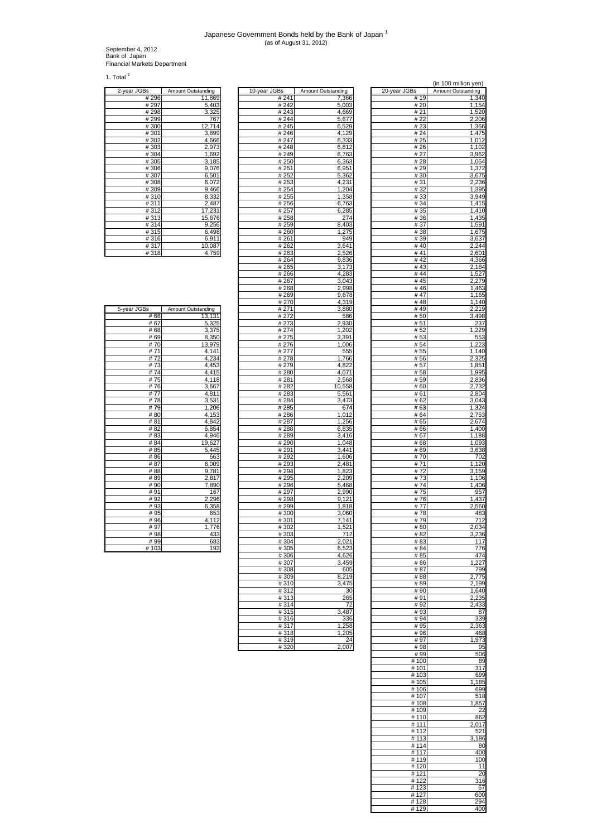## Japanese Government Bonds held by the Bank of Japan <sup>1</sup> (as of August 31, 2012)

September 4, 2012 Bank of Japan Financial Markets Department

1. Total  $2$ 

| 2-year JGBs          | Amount Outstanding |
|----------------------|--------------------|
| #296                 | 11,869             |
| # 297                | 5,403              |
| #298                 | 3,325              |
| #299                 | 767                |
| #300                 | 12,714             |
| #301                 | 3,699              |
| #302                 | 4,666              |
| #303                 | 2,973              |
| #304                 | 1,692              |
| #305                 | 3,185              |
| #306                 | 9,076              |
| #307                 | 6,501              |
| #308                 | 6,072              |
| #309                 | 9,466              |
| #310                 | 8,332              |
| #311                 | 2,487              |
| #312                 | 17,231             |
| #313                 | 15,676             |
| #314                 | 9,256              |
| #315                 | 6,498              |
| #316                 | 6,911              |
| #317                 | 10,087             |
| $\overline{11}$ 0.40 | 1750               |

|                  | Amount Outstanding | <u> 10-year JGBs</u> | Amount Outstanding | <u>zo-year JGB</u> | Amount Outstanding |
|------------------|--------------------|----------------------|--------------------|--------------------|--------------------|
| #296             | 11,869             | #241                 | 7,366              | #19                | 1,340              |
| # 297            | 5,403              | #242                 | 5,003              | # 20               | 1,154              |
| # 298            | 3,325              | #243                 | 4,669              | # 21               | 1,520              |
| # 299            | 767                | #244                 | 5,677              | # 22               | 2,206              |
| #300             | 12,714             | #245                 | 6,529              | # 23               | 1,366              |
| #301             | 3,699              | #246                 | 4,129              | # 24               | 1,475              |
| #302             | 4,666              | # 247                | 6,333              | # 25               | 1,012              |
| #303             | 2,973              | #248                 | 6,812              | # 26               | 1,102              |
|                  |                    |                      |                    |                    |                    |
| # 304            | 1,692              | #249                 | 6,763              | # 27               | 3,962              |
| #305             | 3,185              | #250                 | 6,363              | # 28               | 1,064              |
| #306             | 9,076              | #251                 | 6,951              | #29                | 1,372              |
| #307             | 6,501              | #252                 | 5,362              | #30                | 3,675              |
| #308             | 6,072              | #253                 | 4,231              | #31                | 2,236              |
| $\frac{1}{4}309$ | 9,466              | #254                 | 1,204              | #32                | 1,395              |
| #310             | 8,332              | #255                 | 1,358              | #33                | 3,949              |
| #311             | 2,487              | #256                 | 6,763              | #34                | 1,415              |
| #312             | 17,231             | #257                 | 6,285              | # 35               | 1,410              |
| #313             | 15,676             | #258                 | 274                | #36                | 1,435              |
|                  |                    |                      |                    | #37                |                    |
| #314             | 9,256              | #259                 | 8,403              |                    | 1,591              |
| #315             | 6,498              | #260                 | 1,275              | #38                | 1,675              |
| #316             | 6,911              | #261                 | 949                | #39                | 3,637              |
| #317             | 10,087             | #262                 | 3,641              | #40                | 2,244              |
| #318             | 4,759              | #263                 | 2,526              | #41                | 2,601              |
|                  |                    | #264                 | 9,836              | #42                | 4,366              |
|                  |                    | #265                 | 3,173              | #43                | 2,184              |
|                  |                    | #266                 | 4,283              | #44                | 1,527              |
|                  |                    | # 267                | 3,043              | #45                | 2,279              |
|                  |                    | #268                 | 2,998              | #46                | 1,463              |
|                  |                    | #269                 | 9,678              | #47                | 1,165              |
|                  |                    | #270                 |                    |                    |                    |
|                  |                    |                      | 4,319              | #48                | 1,140              |
| ۱S               | Amount Outstanding | # 271                | 3,880              | #49                | 2,219              |
| # 66             | 13,131             | #272                 | 586                | #50                | 3,498              |
| #67              | 5,325              | #273                 | 2,930              | #51                | 237                |
| # 68             | 3,375              | #274                 | 1,202              | #52                | 1,229              |
| # 69             | 8,350              | #275                 | 3,391              | #53                | 553                |
| #70              | 13,979             | #276                 | 1,006              | # 54               | 1,223              |
| #71              | 4,141              | # 277                | 555                | #55                | 1,140              |
| #72              | 4,234              | # 278                | 1,766              | #56                | 2,325              |
| #73              | 4,453              | #279                 | 4,822              | # 57               | 1,851              |
| # 74             | 4,415              | #280                 | 4,071              | #58                | 1,995              |
| #75              | 4,118              | #281                 |                    |                    | $\overline{2,}836$ |
|                  |                    |                      | 2,568              | # 59               |                    |
| #76              | 3,667              | #282                 | 10,558             | #60                | 2,732              |
| #77              | 4,811              | #283                 | 5,56'              | #61                | 2,804              |
| #78              | 3,531              | #284                 | 3,473              | # 62               | 3,043              |
| #79              | 1,206              | #285                 | 674                | #63                | 1,324              |
| #80              | 4,153              | #286                 | 1,012              | # 64               | 2,753              |
| #81              | 4,842              | #287                 | 1,256              | #65                | 2,674              |
| # 82             | 6,854              | #288                 | 6,835              | # 66               | 1,400              |
| #83              | 4,946              | #289                 | 3,416              | # 67               | 1,188              |
| #84              | 19,627             | #290                 | 1,048              | # 68               | 1,093              |
| #85              | 5,445              | #291                 | 3,441              | # 69               | 3,638              |
| # 86             | 663                | #292                 | 1,606              | # 70               | 702                |
| #87              |                    |                      |                    |                    |                    |
|                  | 6,009              | #293                 | 2,481              | # 71               | 1,120              |
| #88              | 9,781              | #294                 | 1,823              | #72                | 3,159              |
| #89              | 2,817              | #295                 | 2,209              | #73                | 1,106              |
| #90              | 7,890              | #296                 | 5,468              | #74                | 1,406              |
| #91              | 167                | # 297                | 2,990              | #75                | 957                |
| #92              | 2,296              | #298                 | 9,121              | #76                | 1,437              |
| #93              | 6,358              | # 299                | 1,818              | #77                | 2,560              |
| # 95             | 653                | #300                 | 3,060              | #78                | 483                |
| # 96             | 4,112              | #301                 | 7,141              | #79                | 712                |
| #97              | 1,776              | #302                 | 1,521              | #80                | 2,034              |
| #98              | 433                | #303                 | 712                | # 82               | 3,236              |
| #99              | 683                | #304                 | 2,021              | # 83               | 117                |
| #103             | 193                | #305                 | 6,523              | # 84               | 776                |
|                  |                    |                      |                    | # 85               | 474                |
|                  |                    | #306<br>#307         | 4,626<br>3.459     |                    |                    |
|                  |                    |                      |                    | #86                | 1,227              |
|                  |                    | #308                 | 605                | #87                | 799                |
|                  |                    | #309                 | 8,219              | #88                | 2,775              |
|                  |                    | #310                 | 3,475              | #89                | 2,199              |
|                  |                    | #312                 | 30                 | #90                | 1,640              |
|                  |                    | #313                 | 265                | #91                | 2,235              |
|                  |                    | #314                 | 72                 | #92                | 2,433              |
|                  |                    | #315                 | 3,487              | #93                | 87                 |
|                  |                    | #316                 | 336                | #94                | 339                |
|                  |                    | #317                 | 1,258              | #95                | 2,363              |
|                  |                    | #318                 | 1,205              | #96                | 468                |
|                  |                    | #319                 | 24                 | #97                | 1,973              |
|                  |                    |                      |                    |                    |                    |
|                  |                    | #320                 | 2,007              | #98                | 95                 |
|                  |                    |                      |                    | $#$ QQ             | 506                |

|                    |                    |               |                    |                     | (in 100 million yen) |
|--------------------|--------------------|---------------|--------------------|---------------------|----------------------|
| <u>2-year JGBs</u> | Amount Outstanding | 10-year JGBs  | Amount Outstanding | 20-year JGBs        | Amount Outstanding   |
| #296<br>#297       | 11,869             | #241<br>#242  | 7,366              | #19<br>#20          | 1,340                |
| #298               | 5,403<br>3,325     | #243          | 5,003<br>4,669     | #21                 | 1,154<br>1,520       |
| #299               | 767                | #244          | 5,677              | #22                 | 2,206                |
| #300               | 12,714             | #245          | 6,529              | #23                 | 1,366                |
| #301               | 3,699              | #246          | 4,129              | #24                 | 1,475                |
| #302<br>#303       | 4,666<br>2,973     | # 247<br>#248 | 6,333<br>6,812     | # 25<br>#26         | 1,012<br>1,102       |
| #304               | 1,692              | #249          | 6,763              | #27                 | 3,962                |
| #305               | 3,185              | #250          | 6,363              | #28                 | 1,064                |
| #306               | 9,076              | #251          | 6,951              | #29                 | 1,372                |
| #307               | 6,501              | #252          | 5,362              | #30                 | 3,675                |
| #308<br>#309       | 6,072<br>9,466     | #253<br>#254  | 4,231<br>1,204     | #31<br>#32          | 2,236<br>1,395       |
| #310               | 8,332              | #255          | 1,358              | #33                 | 3,949                |
| #311               | 2,487              | #256          | 6,763              | #34                 | 1,415                |
| #312<br>#313       | 17,231             | #257<br>#258  | 6,285<br>274       | # 35<br>#36         | 1,410<br>1,435       |
| #314               | 15,676<br>9,256    | #259          | 8,403              | #37                 | 1,591                |
| #315               | 6,498              | #260          | 1,275              | #38                 | 1,675                |
| #316               | 6,911              | #261          | 949                | #39                 | 3,637                |
| #317<br>#318       | 10,087<br>4,759    | #262<br>#263  | 3,641<br>2,526     | #40<br>#41          | 2,244<br>2,601       |
|                    |                    | #264          | 9,836              | #42                 | 4,366                |
|                    |                    | #265          | 3,173              | #43                 | 2,184                |
|                    |                    | #266          | 4,283              | # 44                | 1,527                |
|                    |                    | #267<br>#268  | 3.043<br>2,998     | #45<br>#46          | 2,279<br>1,463       |
|                    |                    | #269          | 9,678              | #47                 | 1,165                |
|                    |                    | #270          | 4,319              | #48                 | 1,140                |
| 5-year JGBs        | Amount Outstanding | #271          | 3,880              | #49                 | 2,219                |
| # 66<br># 67       | 13,131<br>5,325    | #272<br>#273  | 586<br>2,930       | #50<br>#51          | 3,498<br>237         |
| #68                | 3,375              | #274          | 1,202              | #52                 | 1,229                |
| # 69               | 8,350              | #275          | 3,391              | #53                 | 553                  |
| #70                | 13,979             | #276          | 1,006              | #54                 | 1,223                |
| #71<br>#72         | 4,141<br>4,234     | # 277<br>#278 | 555<br>1,766       | #55<br>#56          | 1,140<br>2,325       |
| #73                | 4,453              | #279          | 4,822              | #57                 | 1,851                |
| #74                | 4,415              | #280          | 4,071              | #58                 | 1,995                |
| #75                | 4,118              | #281          | 2,568              | #59                 | 2,836                |
| #76<br>#77         | 3,667<br>4,811     | #282<br>#283  | 10,558<br>5,561    | #60<br>#61          | 2,732<br>2,804       |
| #78                | 3,531              | #284          | 3,473              | #62                 | 3,043                |
| #79                | 1,206              | #285          | 674                | #63                 | 1,324                |
| #80                | 4,153              | #286          | 1,012              | # 64                | 2,753                |
| #81<br># 82        | 4,842<br>6,854     | #287<br>#288  | 1,256<br>6,835     | #65<br>#66          | 2,674<br>1,400       |
| #83                | 4,946              | #289          | 3,416              | #67                 | 1,188                |
| #84                | 19,627             | #290          | 1,048              | #68                 | 1,093                |
| #85                | 5,445              | #291          | 3,441              | #69                 | 3,638                |
| #86<br>#87         | 663<br>6,009       | #292<br>#293  | 1,606<br>2,481     | #70<br>#71          | 702<br>1,120         |
| #88                | 9,781              | #294          | 1,823              | #72                 | 3,159                |
| #89                | 2,817              | #295          | 2,209              | #73                 | 1,106                |
| #90                | 7,890              | #296          | 5,468              | #74                 | 1,406                |
| #91<br>#92         | 167<br>2,296       | #297<br>#298  | 2,990<br>9,121     | #75<br>#76          | 957<br>1,437         |
| #93                | 6,358              | #299          | 1,818              | #77                 | 2,560                |
| # 95               | 653                | #300          | 3,060              | #78                 | 483                  |
| #96                | 4,112              | #301          | 7,141              | #79                 | 712<br>2,034         |
| # 97<br>#98        | 1/6<br>433         | #302<br>#303  | 1,521<br>712       | <u># 80</u><br># 82 | 3,236                |
| #99                | 683                | #304          | 2,021              | # 83                | 117                  |
| #103               | 193                | #305          | 6,523              | # 84                | 776                  |
|                    |                    | #306<br>#307  | 4,626<br>3,459     | # 85<br>#86         | 474<br>1,227         |
|                    |                    | #308          | 605                | # 87                | 799                  |
|                    |                    | #309          | 8,219              | #88                 | 2,775                |
|                    |                    | #310          | 3,475              | #89                 | 2,199                |
|                    |                    | #312<br>#313  | 30<br>265          | #90<br>#91          | 1,640<br>2,235       |
|                    |                    | #314          | 72                 | #92                 | 2,433                |
|                    |                    | #315          | 3,487              | #93                 | 87                   |
|                    |                    | #316<br>#317  | 336<br>1,258       | #94<br>#95          | 339                  |
|                    |                    | #318          | 1,205              | #96                 | 2,363<br>468         |
|                    |                    | #319          | 24                 | #97                 | 1,973                |
|                    |                    | #320          | 2,007              | #98                 | 95                   |
|                    |                    |               |                    | #99<br>#100         | 506                  |
|                    |                    |               |                    | #101                | 89<br>317            |
|                    |                    |               |                    | #103                | 699                  |
|                    |                    |               |                    | #105                | ,185                 |
|                    |                    |               |                    | #106<br>#107        | 699<br>518           |
|                    |                    |               |                    | #108                | 1,857                |
|                    |                    |               |                    | #109                | 22                   |
|                    |                    |               |                    | #110                | 862                  |
|                    |                    |               |                    | #111<br>#112        | 2,017<br>521         |
|                    |                    |               |                    | #113                | 3,186                |
|                    |                    |               |                    | #114                | 80                   |
|                    |                    |               |                    | #117<br>#119        | 400<br>100           |
|                    |                    |               |                    | #120                | 11                   |
|                    |                    |               |                    | #121                | 20                   |
|                    |                    |               |                    | #122                | 316                  |
|                    |                    |               |                    | #123<br>#127        | 67<br>600            |
|                    |                    |               |                    | #128                | 294                  |
|                    |                    |               |                    | #129                | 400                  |

| 5-year JGBs | Amount Outstanding |
|-------------|--------------------|
| # 66        | 13,131             |
| # 67        | 5,325              |
| #68         | 3,375              |
| # 69        | 8,350              |
| #70         | 13,979             |
| # 71        | 4,141              |
| #72         | 4,234              |
| #73         | 4,453              |
| #74         | 4,415              |
| #75         | 4,118              |
| #76         | 3,667              |
| #77         | 4,811              |
| #78         | 3,531              |
| #79         | 1,206              |
| #80         | 4,153              |
| #81         | 4,842              |
| # 82        | 6,854              |
| #83         | 4,946              |
| # 84        | 19,627             |
| #85         | 5,445              |
| #86         | 663                |
| #87         | 6,009              |
| #88         | 9,781              |
| #89<br>#90  | 2,817              |
| #91         | 7,890<br>167       |
| #92         | 2,296              |
| #93         | 6,358              |
| # 95        | 653                |
| # 96        | 4,112              |
| #97         | 1,776              |
| #98         | 433                |
| #99         | 683                |
| #103        | 193                |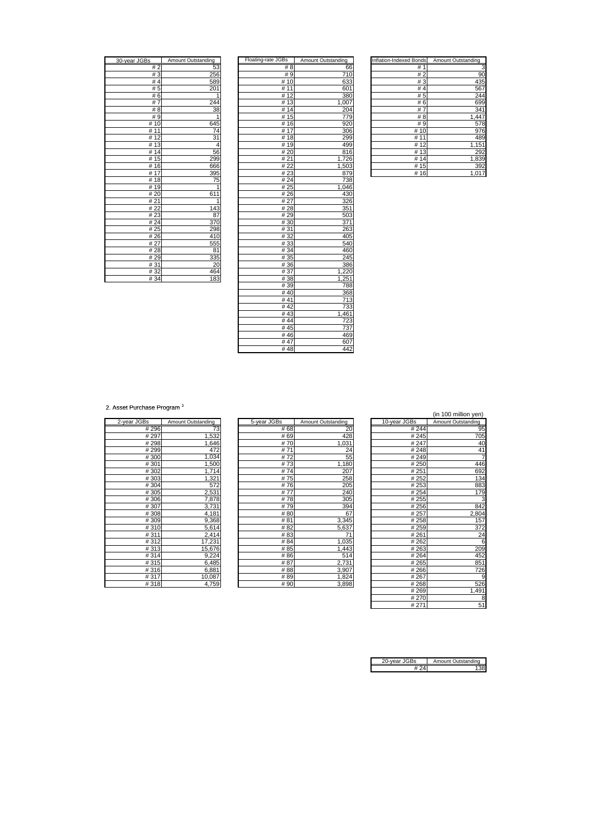| 30-year JGBs         | <b>Amount Outstanding</b> |
|----------------------|---------------------------|
| # 2                  | 53                        |
| #3                   | 256                       |
| #4                   | 589                       |
| # 5                  | 201                       |
| #6                   | 1                         |
| #7                   | 244                       |
| # 8                  | 38                        |
| #9                   | $\overline{1}$            |
| 10<br>#              | 645                       |
| 11<br>#              | 74                        |
| $\overline{1}2$<br># | 31                        |
| 13<br>#              | 4                         |
| 14<br>#              | 56                        |
| $\overline{15}$<br># | 299                       |
| 16<br>#              | 666                       |
| #17                  | 395                       |
| #18                  | 75                        |
| $\overline{19}$<br># | 1                         |
| #20                  | $\overline{1}$<br>61      |
| # 21                 | 1                         |
| # 22                 | 143                       |
| #23                  | 87                        |
| #24                  | 370                       |
| # 25                 | 298                       |
| #26                  | 410                       |
| # 27                 | 555                       |
| #28                  | 81                        |
| #29                  | 335                       |
| # 31                 | 20                        |
| #32                  | 464                       |
| #34                  | 183                       |

| 30-year JGBs | Amount Outstanding | Floating-rate JGBs | Amount Outstanding | Inflation-Indexed Bonds | Amount Outstanding |
|--------------|--------------------|--------------------|--------------------|-------------------------|--------------------|
| #2           | 53                 | #8                 | 66                 | #1                      | 3                  |
| #3           | 256                | #9                 | 710                | #2                      | 90                 |
| #4           | 589                | # 10               | 633                | #3                      | 435                |
| #5           | 201                | # 11               | 601                | #4                      | 567                |
| #6           | 1                  | #12                | 380                | #5                      | 244                |
| #7           | 244                | #13                | 1,007              | #6                      | 699                |
| #8           | 38                 | #14                | 204                | #7                      | 341                |
| #9           | $\mathbf{1}$       | #15                | 779                | #8                      | 1,447              |
| #10          | 645                | #16                | 920                | #9                      | 578                |
| # 11         | 74                 | #17                | 306                | #10                     | 976                |
| #12          | 31                 | #18                | 299                | # 11                    | 489                |
| #13          | 4                  | #19                | 499                | # $\overline{12}$       | 1,151              |
| #14          | 56                 | #20                | 816                | # $13$                  | 292                |
| #15          | 299                | #21                | 1,726              | #14                     | 1,839              |
| #16          | 666                | #22                | 1,503              | #15                     | 392                |
| #17          | 395                | #23                | 879                | #16                     | 1,017              |
| #18          | 75                 | #24                | 738                |                         |                    |
| #19          | $\mathbf{1}$       | # 25               | 1,046              |                         |                    |
| #20          | 611                | #26                | 430                |                         |                    |
| #21          | 1                  | #27                | 326                |                         |                    |
| #22          | 143                | #28                | 351                |                         |                    |
| #23          | 87                 | #29                | 503                |                         |                    |
| #24          | 370                | #30                | 371                |                         |                    |
| #25          | 298                | #31                | 263                |                         |                    |
| #26          | 410                | #32                | 405                |                         |                    |
| #27          | 555                | #33                | 540                |                         |                    |
| #28          | 81                 | #34                | 460                |                         |                    |
| #29          | 335                | # 35               | 245                |                         |                    |
| #31          | 20                 | #36                | 386                |                         |                    |
| #32          | 464                | #37                | 1,220              |                         |                    |
| # 34         | 183                | #38                | 1,251              |                         |                    |
|              |                    | #39                | 788                |                         |                    |
|              |                    | #40                | 368                |                         |                    |
|              |                    | #41                | 713                |                         |                    |
|              |                    | #42                | 733                |                         |                    |
|              |                    | #43                | 1,461              |                         |                    |
|              |                    | #44                | 723                |                         |                    |
|              |                    | #45                | 737                |                         |                    |
|              |                    | #46                | 469                |                         |                    |
|              |                    | #47                | 607                |                         |                    |
|              |                    | #48                | 442                |                         |                    |

| Inflation-Indexed Bonds | Amount Outstanding |
|-------------------------|--------------------|
| #<br>1                  | 3                  |
| #2                      | 90                 |
| #3                      | 435                |
| #<br>4                  | 56                 |
| # 5                     | 244                |
| #<br>6                  | 699                |
| #<br>7                  | 34                 |
| #<br>$\overline{8}$     | 1,44               |
| # 9                     | 57<br>΄8           |
| 10<br>#                 | 976                |
| #                       | 489                |
| #<br>12                 | 1,15               |
| 13<br>#                 | 292                |
| 14<br>#                 | 1,839              |
| 15<br>#                 | 39                 |
| #<br>16                 | 1.0                |

2. Asset Purchase Program<sup>3</sup>

| 2-year JGBs       | Amount Outstanding |
|-------------------|--------------------|
| #296              | 73                 |
| #297              | 1,532              |
| $\frac{1}{4}$ 298 | 1,646              |
| #299              | 472                |
| #300              | 1,034              |
| #301              | 1,500              |
| #302              | 1,714              |
| #303              | 1,321              |
| #304              | 572                |
| #305              | 2,531              |
| #306              | 7,878              |
| #307              | 3,731              |
| #308              | 4,181              |
| #309              | 9,368              |
| #310              | 5,614              |
| #311              | 2,414              |
| #312              | 17,231             |
| #313              | 15,676             |
| #314              | 9,224              |
| #315              | 6,485              |
| #316              | 6,881              |
| #317              | 10,087             |
| 1.210             | 1750               |

|             |                    |             |                    |              | (in 100 million yen) |
|-------------|--------------------|-------------|--------------------|--------------|----------------------|
| 2-year JGBs | Amount Outstanding | 5-year JGBs | Amount Outstanding | 10-year JGBs | Amount Outstanding   |
| #296        | 73                 | #68         | 20                 | #244         | 95                   |
| #297        | 1,532              | #69         | 428                | #245         | 705                  |
| #298        | .646               | #70         | ,031               | #247         | 4 <sub>C</sub>       |
| #299        | 472                | #71         | 24                 | #248         | 41                   |
| #300        | 1,034              | #72         | 55                 | #249         |                      |
| #301        | 1,500              | #73         | 1,180              | #250         | 446                  |
| #302        | 1,714              | #74         | 207                | #251         | 692                  |
| #303        | 1,321              | #75         | 258                | #252         | 134                  |
| #304        | 572                | #76         | 205                | # 253        | 883                  |
| #305        | 2,531              | #77         | 240                | #254         | 179                  |
| #306        | 7,878              | #78         | 305                | #255         |                      |
| #307        | 3,731              | #79         | 394                | #256         | 842                  |
| #308        | 4,181              | # 80        | 67                 | # 257        | 2,804                |
| #309        | 9,368              | #81         | 3,345              | #258         | 157                  |
| #310        | 5,614              | #82         | 5,637              | #259         | 372                  |
| #311        | 2,414              | #83         | 71                 | #261         | 24                   |
| #312        | 17,231             | #84         | 1,035              | #262         | 6                    |
| #313        | 15,676             | #85         | 1,443              | #263         | <b>209</b>           |
| #314        | 9,224              | #86         | 514                | #264         | 452                  |
| #315        | 6,485              | #87         | 2,731              | #265         | 851                  |
| #316        | 6,881              | #88         | 3,907              | #266         | 726                  |
| #317        | 10,087             | #89         | 1,824              | #267         | S                    |
| #219        | 1750               | $#$ QO      | 3.808              | $H$ 268      | 526                  |

|       |                    |             |                    |              | (in 100 million yen) |
|-------|--------------------|-------------|--------------------|--------------|----------------------|
| is    | Amount Outstanding | 5-year JGBs | Amount Outstanding | 10-year JGBs | Amount Outstanding   |
| # 296 | 73                 | # 68        | 20                 | #244         | 95                   |
| # 297 | 1,532              | # 69        | 428                | #245         | 705                  |
| #298  | .646               | #70         | 1,031              | #247         | 40                   |
| #299  | 472                | #71         | 24                 | #248         | 41                   |
| #300  | 1,034              | #72         | 55                 | #249         | $\overline{7}$       |
| #301  | 1,500              | #73         | 1,180              | #250         | 446                  |
| #302  | 1,714              | #74         | 207                | #251         | 692                  |
| #303  | 1,321              | #75         | 258                | #252         | 134                  |
| #304  | 572                | #76         | 205                | # 253        | 883                  |
| #305  | 2,531              | #77         | 240                | # 254        | 179                  |
| #306  | 7,878              | #78         | 305                | #255         | 3                    |
| #307  | 3,731              | #79         | 394                | #256         | 842                  |
| #308  | 4,181              | #80         | 67                 | #257         | 2,804                |
| #309  | 9,368              | #81         | 3,345              | #258         | 157                  |
| #310  | 5,614              | #82         | 5,637              | #259         | 372                  |
| #311  | 2,414              | #83         | 71                 | #261         | 24                   |
| #312  | 17,231             | # 84        | 1,035              | #262         | 6                    |
| #313  | 15,676             | #85         | 1,443              | #263         | 209                  |
| #314  | 9,224              | #86         | 514                | #264         | 452                  |
| #315  | 6,485              | #87         | 2,731              | #265         | 851                  |
| #316  | 6,881              | #88         | 3,907              | #266         | 726                  |
| #317  | 10,087             | #89         | 1,824              | #267         | 9                    |
| #318  | 4,759              | #90         | 3,898              | #268         | 526                  |
|       |                    |             |                    | #269         | 1,491                |
|       |                    |             |                    | #270         | 8                    |
|       |                    |             |                    | #271         | 51                   |

| )-vear JGBs | Amount Outstanding |
|-------------|--------------------|
|             |                    |
|             |                    |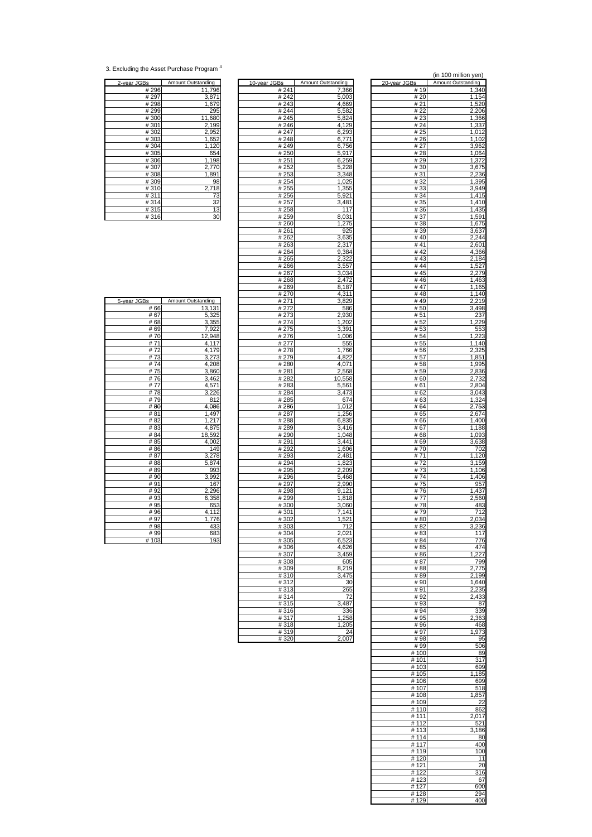<sup>3.</sup> Excluding the Asset Purchase Program 4

| 2-year JGBs | Amount Outstanding             |
|-------------|--------------------------------|
| # 296       | 11,796                         |
| #297        | 3,871                          |
| # 298       | 1,679                          |
| #299        | 295                            |
| #300        | 11,680                         |
| #301        | $\frac{2,198}{2,952}$<br>1,652 |
| #302        |                                |
| #303        |                                |
| #304        | 1,120                          |
| #305        | 654                            |
| #306        | 1,198                          |
| #307        | 2,770                          |
| #308        | 1,891                          |
| #309        | 98                             |
| #310        |                                |
| #311        | $\frac{2,718}{73}$<br>32<br>13 |
| #314        |                                |
| #315        |                                |
| #316        | 3 <sup>o</sup>                 |

| <u>2-year JGBs</u> | <b>Amount Outstanding</b> | 10-year JGBs | <b>Amount Outstanding</b> | <u>20-year JGBs</u> | <b>Amount Outstanding</b> |
|--------------------|---------------------------|--------------|---------------------------|---------------------|---------------------------|
| #296               | 11,796                    | # 241        | 7,366                     | #19                 | 1,340                     |
| # 297              | 3,871                     | #242         | 5,003                     | # 20                | 1,154                     |
| #298               |                           | #243         |                           | #21                 |                           |
|                    | 1,679                     |              | 4,669                     |                     | 1,520                     |
| # 299              | 295                       | # 244        | 5,582                     | # 22                | 2,206                     |
| #300               | 11,680                    | #245         | 5,824                     | #23                 | 1,366                     |
| #301               | 2,199                     | #246         | 4,129                     | # 24                | 1,337                     |
| #302               | 2,952                     | # 247        | 6.293                     | # 25                | $\overline{1,012}$        |
| #303               | 1,652                     | #248         | 6,771                     | # 26                | 1,102                     |
| #304               | 1,120                     | #249         | 6,756                     | # 27                | 3,962                     |
| #305               | 654                       | #250         | 5,917                     | # 28                | 1,064                     |
| #306               | 1,198                     | # 251        | 6,259                     | #29                 | 1,372                     |
| #307               |                           |              |                           | # 30                |                           |
|                    | 2,770                     | #252         | 5,228                     |                     | 3,675                     |
| #308               | 1,891                     | #253         | 3,348                     | #31                 | 2,236                     |
| #309               | 98                        | # 254        | 1,025                     | #32                 | 1,395                     |
| #310               | 2,718                     | #255         | 1,355                     | #33                 | 3.949                     |
| #311               | 73                        | #256         | 5,921                     | #34                 | 1,415                     |
| #314               | 32                        | # 257        | 3,481                     | #35                 | 1,410                     |
| #315               | 13                        | #258         | 117                       | #36                 | 1,435                     |
| #316               | 30                        | #259         | 8,031                     | #37                 | 1,591                     |
|                    |                           | #260         | 1,275                     | #38                 | 1,675                     |
|                    |                           | #261         | 925                       | #39                 | 3,637                     |
|                    |                           |              |                           |                     |                           |
|                    |                           | #262         | 3,635                     | #40                 | 2,244                     |
|                    |                           | #263         | 2,317                     | #41                 | 2,601                     |
|                    |                           | #264         | 9,384                     | #42                 | 4,366                     |
|                    |                           | # 265        | 2,322                     | #43                 | 2,184                     |
|                    |                           | #266         | 3,557                     | #44                 | 1,527                     |
|                    |                           | #267         | 3,034                     | #45                 | 2,279                     |
|                    |                           | #268         | 2,472                     | #46                 | 1,463                     |
|                    |                           | # 269        | 8.187                     | #47                 | 1,165                     |
|                    |                           | #270         | 4,311                     | #48                 | 1,140                     |
| 5-year JGBs        | Amount Outstanding        | # 271        | 3,829                     | #49                 | 2,219                     |
|                    |                           |              |                           |                     |                           |
| # 66               | 13,131                    | #272         | 586                       | #50                 | 3,498                     |
| # 67               | 5,325                     | #273         | 2,930                     | #51                 | 237                       |
| # 68               | 3,355                     | #274         | 1,202                     | #52                 | 1,229                     |
| # 69               | 7,922                     | #275         | 3,391                     | #53                 | 553                       |
| #70                | 12,948                    | #276         | 1,006                     | #54                 | 1,223                     |
| #71                | 4,117                     | # 277        | 555                       | # 55                | 1,140                     |
| #72                | 4,179                     | # 278        | 1,766                     | #56                 | 2,325                     |
| #73                | 3,273                     | # 279        | 4,822                     | # 57                | 1,851                     |
| #74                | 4,208                     | #280         | 4,071                     | #58                 | 1,995                     |
| #75                |                           | #281         | 2,568                     | # 59                | 2,836                     |
|                    | 3,860                     |              |                           |                     |                           |
| #76                | 3,462                     | #282         | 10,558                    | #60                 | 2,732                     |
| #77                | 4,571                     | #283         | 5,561                     | #61                 | 2,804                     |
| #78                | 3,226                     | #284         | 3,473                     | #62                 | 3,043                     |
| #79                | 812                       | #285         | 674                       | # 63                | 1,324                     |
| #80                | 4,086                     | #286         | 1,012                     | #64                 | 2,753                     |
| #81                | 1,497                     | #287         | 1,256                     | # 65                | 2,674                     |
| # 82               | 1,217                     | #288         | 6,835                     | #66                 | 1,400                     |
| #83                | 4,875                     | #289         | 3,416                     | # 67                | 1,188                     |
| #84                | 18,592                    | #290         | 1,048                     | # 68                | 1,093                     |
| # 85               | 4,002                     | #291         | 3,441                     | #69                 | 3,638                     |
|                    |                           |              |                           |                     |                           |
| #86                | 149                       | #292         | 1,606                     | #70                 | 702                       |
| #87                | 3,278                     | #293         | 2,481                     | #71                 | 1,120                     |
| #88                | 5,874                     | #294         | 1,823                     | #72                 | 3,159                     |
| #89                | 993                       | #295         | 2,209                     | #73                 | 1,106                     |
| #90                | 3,992                     | #296         | 5,468                     | #74                 | 1,406                     |
| #91                | 167                       | #297         | 2,990                     | #75                 | 957                       |
| #92                | 2,296                     | #298         | 9,121                     | #76                 | $\overline{1,}437$        |
| #93                | 6,358                     | #299         | 1,818                     | #77                 | 2,560                     |
| #95                | 653                       | #300         | 3,060                     | #78                 | 483                       |
| #96                | 4,112                     | #301         | 7,141                     | #79                 | 712                       |
| #97                | 1,776                     | #302         | 1,521                     | #80                 | 2,034                     |
| #98                | 433                       | #303         | 712                       | #82                 | 3,236                     |
| # 99               | 683                       |              | 2,021                     | #83                 | 117                       |
|                    | 193                       | #304         |                           |                     |                           |
| #103               |                           | #305         | 6,523                     | #84                 | 776                       |
|                    |                           | #306         | 4,626                     | # 85                | 474                       |
|                    |                           | #307         | 3,459                     | #86                 | 1,227                     |
|                    |                           | #308         | 605                       | # 87                | 799                       |
|                    |                           | #309         | 8,219                     | #88                 | 2,775                     |
|                    |                           | #310         | 3,475                     | #89                 | 2,199                     |
|                    |                           | #312         | 30                        | #90                 | 1,640                     |
|                    |                           | #313         | 265                       | #91                 | 2,235                     |
|                    |                           | #314         | 72                        | #92                 | 2,433                     |
|                    |                           | #315         | 3,487                     | #93                 | 87                        |
|                    |                           | #316         | 336                       | # 94                | 339                       |
|                    |                           |              |                           |                     |                           |
|                    |                           | #317         | 1,258                     | # 95                | 2,363                     |
|                    |                           | #318         | 1,205                     | #96                 | 468                       |
|                    |                           | #319         | 24                        | #97                 | 1,973                     |
|                    |                           | #320         | 2,007                     | #98                 | 95                        |
|                    |                           |              |                           |                     |                           |

|                           |                             |                      | (in 100 million yen)<br>Amount Outstanding |
|---------------------------|-----------------------------|----------------------|--------------------------------------------|
| Зs<br># 241               | Amount Outstanding<br>7,366 | 20-year JGBs<br># 19 | 1,340                                      |
| # 242<br>#243             | 5,003<br>4,669              | # 20<br># 21         | 1,154<br>1,520                             |
| # 244                     | 5,582                       | # 22                 | 2,206                                      |
| #245<br>#246              | 5,824<br>4,129              | # 23<br># 24         | 1,366<br>1,337                             |
| # 247                     | 6,293                       | # 25                 | 1,012                                      |
| # 248<br># 249            | 6,771<br>6,756              | # 26<br># 27         | 1,102<br>3,962                             |
| #250                      | 5,917                       | # 28                 | 1,064                                      |
| # 251<br>#252             | 6,259<br>5,228              | #29<br>#30           | 1,372<br>3,675                             |
| #253                      | 3,348                       | # 31                 | 2,236                                      |
| #254<br># 255             | 1,025<br>1,355              | #32<br>#33           | 1,395<br>3,949                             |
| # 256<br>#257             | 5,921                       | #34                  | 1,415                                      |
| # 258                     | 3,481<br>117                | #35<br>#36           | 1,410<br>1,435                             |
| # 259                     | 8,031                       | #37                  | 1,591                                      |
| # 260<br># 261            | 1,275<br>925                | #38<br>#39           | 1,675<br>3,637                             |
| # 262<br>#263             | 3,635                       | #40<br>#41           | 2,244                                      |
| #264                      | 2,317<br>9,384              | #42                  | 2,601<br>4,366                             |
| # 265<br># 266            | 2,322<br>3,557              | #43<br>#44           | 2,184<br>1,527                             |
| # 267                     | 3,034                       | #45                  | 2,279                                      |
| #268<br># 269             | 2,472<br>8,187              | #46<br># 47          | 1,463<br>1,165                             |
| # 270                     | 4,311                       | #48                  | 1,140                                      |
| #271<br># 272             | 3.829<br>586                | #49<br>#50           | 2,219<br>3,498                             |
| # 273                     | 2,930                       | # 51                 | 237                                        |
| # 274<br># 275            | 1,202<br>3,391              | # 52<br># 53         | 1,229<br>553                               |
| $\overline{\text{#}}$ 276 | 1,006                       | #54                  | 1,223                                      |
| # 277<br># 278            | 555<br>1,766                | # 55<br># 56         | 1,140<br>2,325                             |
| # 279                     | 4,822                       | # 57                 | 1,851                                      |
| # 280<br>#281             | 4,071<br>2,568              | # 58<br># 59         | 1,995<br>2,836                             |
| # 282                     | 10,558                      | # 60                 | 2,732                                      |
| #283<br># 284             | 5,561<br>$\overline{3,}473$ | # 61<br># 62         | 2,804<br>3,043                             |
| #285                      | 674                         | # 63                 | 1,324                                      |
| # 286<br># 287            | 1,012<br>1,256              | # 64<br># 65         | 2,753<br>2,674                             |
| # 288<br>#289             | 6,835<br>3,416              | # 66<br># 67         | 1,400<br>1,188                             |
| #290                      | 1,048                       | # 68                 | 1,093                                      |
| # 291<br># 292            | 3,441<br>1,606              | # 69<br># 70         | 3,638<br>702                               |
| #293                      | 2,481                       | # 71                 | 1,120                                      |
| # 294<br># 295            | 1,823<br>2,209              | # 72<br>#73          | 3,159<br>1,106                             |
| #296                      | 5,468                       | #74                  | 1,406                                      |
| # 297<br>#298             | 2,990<br>9,121              | #75<br>#76           | 957<br>1,437                               |
| #299                      | 1,818                       | #77                  | 2,560                                      |
| #300<br>#301              | 3,060<br>7,141              | #<br>78<br>#79       | 483<br>712                                 |
| # 302                     | 1,521                       | # 80                 | 2,034                                      |
| #303<br>$\frac{1}{4}304$  | 712<br>2,021                | #82<br># 83          | 3,236<br>117                               |
| #305                      | 6,523                       | #84                  | 776                                        |
| #306<br>#307              | 4,626<br>3,459              | # 85<br>#86          | 474<br>,227                                |
| #308<br>#309              | 605<br>8,219                | # 87<br># 88         | 799<br>2,775                               |
| #310                      | 3,475                       | # 89                 | 2,199                                      |
| $\frac{1}{4}312$<br>#313  | 30<br>265                   | #90<br>#91           | 1,640<br>2,235                             |
| #314                      | 72                          | #92                  | 2,433                                      |
| #315<br>#316              | 3,487<br>336                | #93<br>#94           | 87<br>339                                  |
| #317                      | 1,258                       | # 95                 | 2,363                                      |
| #318<br>#319              | 1,205<br>24                 | # 96<br>#97          | 468<br>1,973                               |
| #320                      | 2,007                       | #98                  | 95                                         |
|                           |                             | # 99<br># 100        | 506<br>89                                  |
|                           |                             | #101                 | 317                                        |
|                           |                             | #103<br>#105         | 699<br>1,185                               |
|                           |                             | #106                 | 699                                        |
|                           |                             | #107<br>#108         | 518<br>1,857                               |
|                           |                             | #109                 | -22                                        |
|                           |                             | #110<br># 111        | 862<br>2,017                               |
|                           |                             | # 112                | 521                                        |
|                           |                             | #113<br>#114         | 3,<br>186<br>80                            |
|                           |                             | #117<br>#119         | 400<br>100                                 |
|                           |                             | #120                 | 11                                         |
|                           |                             | # 121<br>#122        | 20<br>316                                  |
|                           |                             | #123                 | 67                                         |
|                           |                             | #127<br># 128        | 600<br>294                                 |
|                           |                             | #129                 | 400                                        |

| 5-year JGBs | <b>Amount Outstanding</b> |
|-------------|---------------------------|
| # 66        | 13,131                    |
| # 67        | 5,325                     |
| #68         | 3,355                     |
| # 69        | 7,922                     |
| #70         | 12,948                    |
| # 71        | 4,117                     |
| #72         | 4,179                     |
| #73         | 3,273                     |
| #74         | 4,208                     |
| #75         | 3,860                     |
| #76         | 3,462                     |
| #77         | 4,571                     |
| #78         | 3,226                     |
| #79         | 812                       |
| #80         | 4,086                     |
| # 81        | 1,497<br>1,217            |
| # 82        |                           |
| # 83        | 4,875                     |
| # 84        | 18,592                    |
| #85         | 4,002                     |
| #86         | 149                       |
| #87         | 3,278                     |
| #88         | 5,874                     |
| #89         | 993                       |
| #90         | 3,992                     |
| #91         | 167                       |
| #92         | 2,296                     |
| #93         | 6,358                     |
| #95         | 653                       |
| #96         | 4,112                     |
| #97         | 1,776<br>433              |
| #98<br># 99 | 683                       |
| #103        | 193                       |
|             |                           |